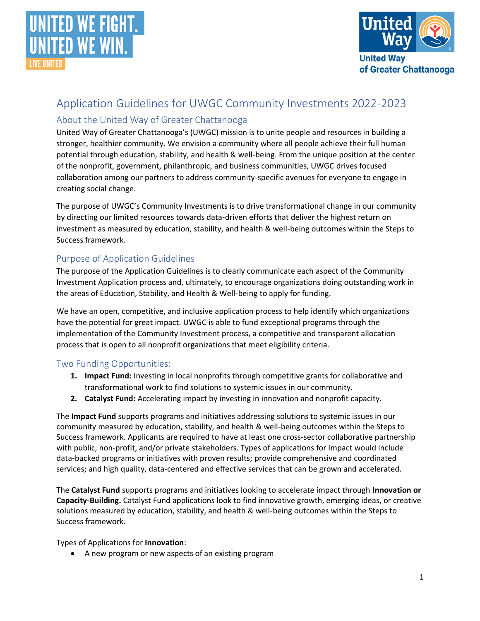



# Application Guidelines for UWGC Community Investments 2022-2023

## About the United Way of Greater Chattanooga

United Way of Greater Chattanooga's (UWGC) mission is to unite people and resources in building a stronger, healthier community. We envision a community where all people achieve their full human potential through education, stability, and health & well-being. From the unique position at the center of the nonprofit, government, philanthropic, and business communities, UWGC drives focused collaboration among our partners to address community-specific avenues for everyone to engage in creating social change.

The purpose of UWGC's Community Investments is to drive transformational change in our community by directing our limited resources towards data-driven efforts that deliver the highest return on investment as measured by education, stability, and health & well-being outcomes within the Steps to Success framework.

## Purpose of Application Guidelines

The purpose of the Application Guidelines is to clearly communicate each aspect of the Community Investment Application process and, ultimately, to encourage organizations doing outstanding work in the areas of Education, Stability, and Health & Well-being to apply for funding.

We have an open, competitive, and inclusive application process to help identify which organizations have the potential for great impact. UWGC is able to fund exceptional programs through the implementation of the Community Investment process, a competitive and transparent allocation process that is open to all nonprofit organizations that meet eligibility criteria.

#### Two Funding Opportunities:

- **1. Impact Fund:** Investing in local nonprofits through competitive grants for collaborative and transformational work to find solutions to systemic issues in our community.
- **2. Catalyst Fund:** Accelerating impact by investing in innovation and nonprofit capacity.

The **Impact Fund** supports programs and initiatives addressing solutions to systemic issues in our community measured by education, stability, and health & well-being outcomes within the Steps to Success framework. Applicants are required to have at least one cross-sector collaborative partnership with public, non-profit, and/or private stakeholders. Types of applications for Impact would include data-backed programs or initiatives with proven results; provide comprehensive and coordinated services; and high quality, data-centered and effective services that can be grown and accelerated.

The **Catalyst Fund** supports programs and initiatives looking to accelerate impact through **Innovation or Capacity-Building.** Catalyst Fund applications look to find innovative growth, emerging ideas, or creative solutions measured by education, stability, and health & well-being outcomes within the Steps to Success framework.

Types of Applications for **Innovation**:

• A new program or new aspects of an existing program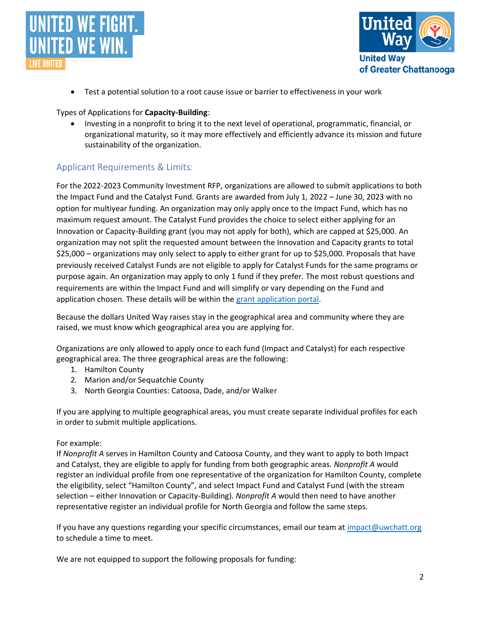



• Test a potential solution to a root cause issue or barrier to effectiveness in your work

#### Types of Applications for **Capacity-Building**:

• Investing in a nonprofit to bring it to the next level of operational, programmatic, financial, or organizational maturity, so it may more effectively and efficiently advance its mission and future sustainability of the organization.

## Applicant Requirements & Limits:

For the 2022-2023 Community Investment RFP, organizations are allowed to submit applications to both the Impact Fund and the Catalyst Fund. Grants are awarded from July 1, 2022 – June 30, 2023 with no option for multiyear funding. An organization may only apply once to the Impact Fund, which has no maximum request amount. The Catalyst Fund provides the choice to select either applying for an Innovation or Capacity-Building grant (you may not apply for both), which are capped at \$25,000. An organization may not split the requested amount between the Innovation and Capacity grants to total \$25,000 – organizations may only select to apply to either grant for up to \$25,000. Proposals that have previously received Catalyst Funds are not eligible to apply for Catalyst Funds for the same programs or purpose again. An organization may apply to only 1 fund if they prefer. The most robust questions and requirements are within the Impact Fund and will simplify or vary depending on the Fund and application chosen. These details will be within the [grant application portal.](https://uwgc.smapply.io/)

Because the dollars United Way raises stay in the geographical area and community where they are raised, we must know which geographical area you are applying for.

Organizations are only allowed to apply once to each fund (Impact and Catalyst) for each respective geographical area. The three geographical areas are the following:

- 1. Hamilton County
- 2. Marion and/or Sequatchie County
- 3. North Georgia Counties: Catoosa, Dade, and/or Walker

If you are applying to multiple geographical areas, you must create separate individual profiles for each in order to submit multiple applications.

#### For example:

If *Nonprofit A* serves in Hamilton County and Catoosa County, and they want to apply to both Impact and Catalyst, they are eligible to apply for funding from both geographic areas. *Nonprofit A* would register an individual profile from one representative of the organization for Hamilton County, complete the eligibility, select "Hamilton County", and select Impact Fund and Catalyst Fund (with the stream selection – either Innovation or Capacity-Building). *Nonprofit A* would then need to have another representative register an individual profile for North Georgia and follow the same steps.

If you have any questions regarding your specific circumstances, email our team at [impact@uwchatt.org](mailto:impact@uwchatt.org) to schedule a time to meet.

We are not equipped to support the following proposals for funding: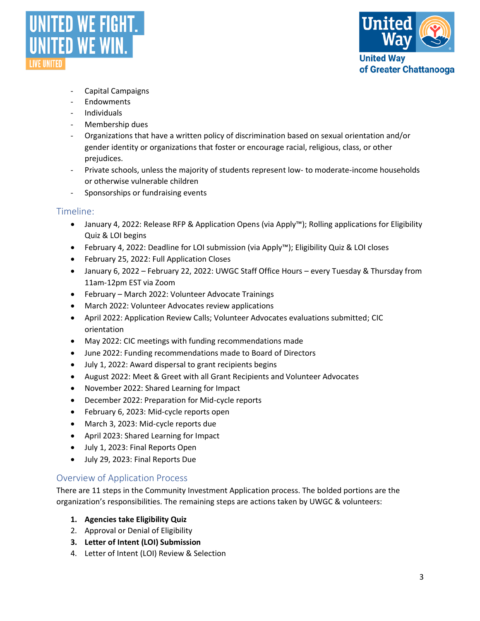



- Capital Campaigns
- Endowments
- Individuals
- Membership dues
- Organizations that have a written policy of discrimination based on sexual orientation and/or gender identity or organizations that foster or encourage racial, religious, class, or other prejudices.
- Private schools, unless the majority of students represent low- to moderate-income households or otherwise vulnerable children
- Sponsorships or fundraising events

#### Timeline:

- January 4, 2022: Release RFP & Application Opens (via Apply™); Rolling applications for Eligibility Quiz & LOI begins
- February 4, 2022: Deadline for LOI submission (via Apply™); Eligibility Quiz & LOI closes
- February 25, 2022: Full Application Closes
- January 6, 2022 February 22, 2022: UWGC Staff Office Hours every Tuesday & Thursday from 11am-12pm EST via Zoom
- February March 2022: Volunteer Advocate Trainings
- March 2022: Volunteer Advocates review applications
- April 2022: Application Review Calls; Volunteer Advocates evaluations submitted; CIC orientation
- May 2022: CIC meetings with funding recommendations made
- June 2022: Funding recommendations made to Board of Directors
- July 1, 2022: Award dispersal to grant recipients begins
- August 2022: Meet & Greet with all Grant Recipients and Volunteer Advocates
- November 2022: Shared Learning for Impact
- December 2022: Preparation for Mid-cycle reports
- February 6, 2023: Mid-cycle reports open
- March 3, 2023: Mid-cycle reports due
- April 2023: Shared Learning for Impact
- July 1, 2023: Final Reports Open
- July 29, 2023: Final Reports Due

#### Overview of Application Process

There are 11 steps in the Community Investment Application process. The bolded portions are the organization's responsibilities. The remaining steps are actions taken by UWGC & volunteers:

- **1. Agencies take Eligibility Quiz**
- 2. Approval or Denial of Eligibility
- **3. Letter of Intent (LOI) Submission**
- 4. Letter of Intent (LOI) Review & Selection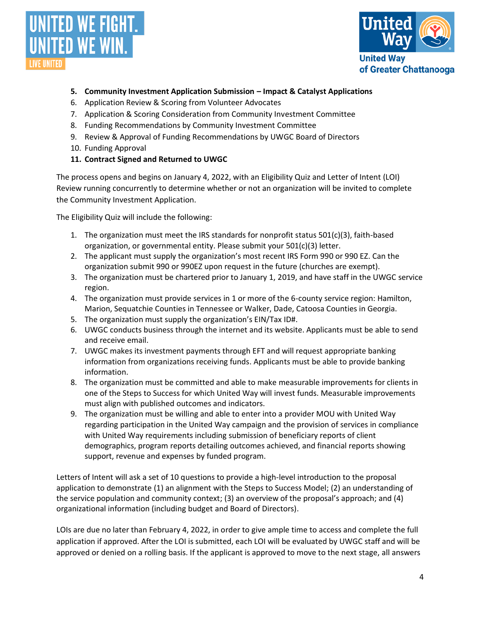



- **5. Community Investment Application Submission – Impact & Catalyst Applications**
- 6. Application Review & Scoring from Volunteer Advocates
- 7. Application & Scoring Consideration from Community Investment Committee
- 8. Funding Recommendations by Community Investment Committee
- 9. Review & Approval of Funding Recommendations by UWGC Board of Directors
- 10. Funding Approval
- **11. Contract Signed and Returned to UWGC**

The process opens and begins on January 4, 2022, with an Eligibility Quiz and Letter of Intent (LOI) Review running concurrently to determine whether or not an organization will be invited to complete the Community Investment Application.

The Eligibility Quiz will include the following:

- 1. The organization must meet the IRS standards for nonprofit status  $501(c)(3)$ , faith-based organization, or governmental entity. Please submit your 501(c)(3) letter.
- 2. The applicant must supply the organization's most recent IRS Form 990 or 990 EZ. Can the organization submit 990 or 990EZ upon request in the future (churches are exempt).
- 3. The organization must be chartered prior to January 1, 2019, and have staff in the UWGC service region.
- 4. The organization must provide services in 1 or more of the 6-county service region: Hamilton, Marion, Sequatchie Counties in Tennessee or Walker, Dade, Catoosa Counties in Georgia.
- 5. The organization must supply the organization's EIN/Tax ID#.
- 6. UWGC conducts business through the internet and its website. Applicants must be able to send and receive email.
- 7. UWGC makes its investment payments through EFT and will request appropriate banking information from organizations receiving funds. Applicants must be able to provide banking information.
- 8. The organization must be committed and able to make measurable improvements for clients in one of the Steps to Success for which United Way will invest funds. Measurable improvements must align with published outcomes and indicators.
- 9. The organization must be willing and able to enter into a provider MOU with United Way regarding participation in the United Way campaign and the provision of services in compliance with United Way requirements including submission of beneficiary reports of client demographics, program reports detailing outcomes achieved, and financial reports showing support, revenue and expenses by funded program.

Letters of Intent will ask a set of 10 questions to provide a high-level introduction to the proposal application to demonstrate (1) an alignment with the Steps to Success Model; (2) an understanding of the service population and community context; (3) an overview of the proposal's approach; and (4) organizational information (including budget and Board of Directors).

LOIs are due no later than February 4, 2022, in order to give ample time to access and complete the full application if approved. After the LOI is submitted, each LOI will be evaluated by UWGC staff and will be approved or denied on a rolling basis. If the applicant is approved to move to the next stage, all answers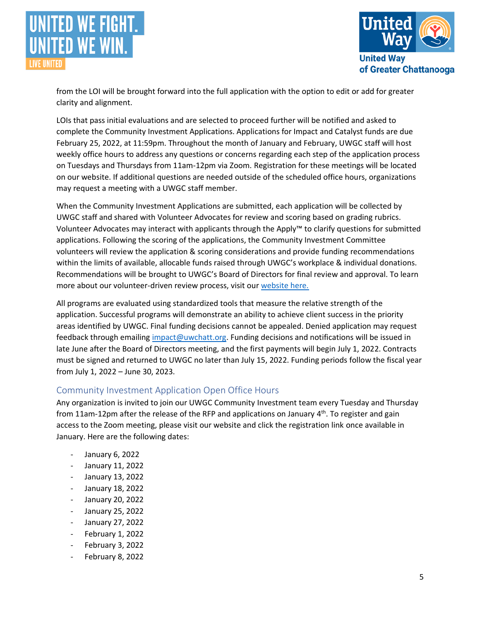



from the LOI will be brought forward into the full application with the option to edit or add for greater clarity and alignment.

LOIs that pass initial evaluations and are selected to proceed further will be notified and asked to complete the Community Investment Applications. Applications for Impact and Catalyst funds are due February 25, 2022, at 11:59pm. Throughout the month of January and February, UWGC staff will host weekly office hours to address any questions or concerns regarding each step of the application process on Tuesdays and Thursdays from 11am-12pm via Zoom. Registration for these meetings will be located on our website. If additional questions are needed outside of the scheduled office hours, organizations may request a meeting with a UWGC staff member.

When the Community Investment Applications are submitted, each application will be collected by UWGC staff and shared with Volunteer Advocates for review and scoring based on grading rubrics. Volunteer Advocates may interact with applicants through the Apply™ to clarify questions for submitted applications. Following the scoring of the applications, the Community Investment Committee volunteers will review the application & scoring considerations and provide funding recommendations within the limits of available, allocable funds raised through UWGC's workplace & individual donations. Recommendations will be brought to UWGC's Board of Directors for final review and approval. To learn more about our volunteer-driven review process, visit our [website here.](https://unitedwaycha.org/civolunteers/)

All programs are evaluated using standardized tools that measure the relative strength of the application. Successful programs will demonstrate an ability to achieve client success in the priority areas identified by UWGC. Final funding decisions cannot be appealed. Denied application may request feedback through emailing [impact@uwchatt.org.](mailto:impact@uwchatt.org) Funding decisions and notifications will be issued in late June after the Board of Directors meeting, and the first payments will begin July 1, 2022. Contracts must be signed and returned to UWGC no later than July 15, 2022. Funding periods follow the fiscal year from July 1, 2022 – June 30, 2023.

#### Community Investment Application Open Office Hours

Any organization is invited to join our UWGC Community Investment team every Tuesday and Thursday from 11am-12pm after the release of the RFP and applications on January 4<sup>th</sup>. To register and gain access to the Zoom meeting, please visit our website and click the registration link once available in January. Here are the following dates:

- January 6, 2022
- January 11, 2022
- January 13, 2022
- January 18, 2022
- January 20, 2022
- January 25, 2022
- January 27, 2022
- February 1, 2022
- February 3, 2022
- February 8, 2022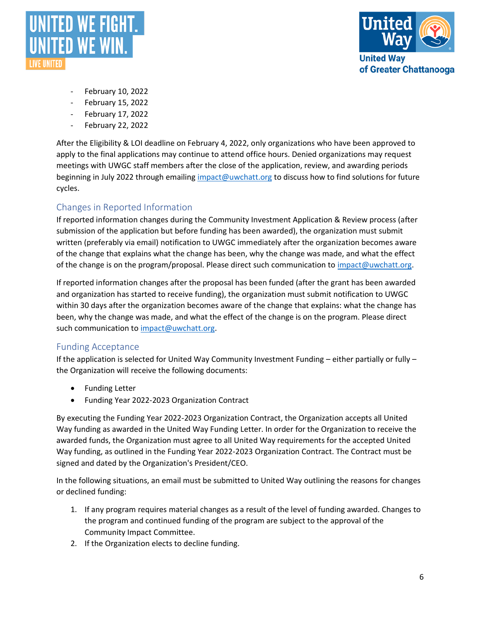



- February 10, 2022
- February 15, 2022
- February 17, 2022
- February 22, 2022

After the Eligibility & LOI deadline on February 4, 2022, only organizations who have been approved to apply to the final applications may continue to attend office hours. Denied organizations may request meetings with UWGC staff members after the close of the application, review, and awarding periods beginning in July 2022 through emailing [impact@uwchatt.org](mailto:impact@uwchatt.org) to discuss how to find solutions for future cycles.

# Changes in Reported Information

If reported information changes during the Community Investment Application & Review process (after submission of the application but before funding has been awarded), the organization must submit written (preferably via email) notification to UWGC immediately after the organization becomes aware of the change that explains what the change has been, why the change was made, and what the effect of the change is on the program/proposal. Please direct such communication to [impact@uwchatt.org.](mailto:impact@uwchatt.org)

If reported information changes after the proposal has been funded (after the grant has been awarded and organization has started to receive funding), the organization must submit notification to UWGC within 30 days after the organization becomes aware of the change that explains: what the change has been, why the change was made, and what the effect of the change is on the program. Please direct such communication to [impact@uwchatt.org.](mailto:impact@uwchatt.org)

#### Funding Acceptance

If the application is selected for United Way Community Investment Funding – either partially or fully – the Organization will receive the following documents:

- Funding Letter
- Funding Year 2022-2023 Organization Contract

By executing the Funding Year 2022-2023 Organization Contract, the Organization accepts all United Way funding as awarded in the United Way Funding Letter. In order for the Organization to receive the awarded funds, the Organization must agree to all United Way requirements for the accepted United Way funding, as outlined in the Funding Year 2022-2023 Organization Contract. The Contract must be signed and dated by the Organization's President/CEO.

In the following situations, an email must be submitted to United Way outlining the reasons for changes or declined funding:

- 1. If any program requires material changes as a result of the level of funding awarded. Changes to the program and continued funding of the program are subject to the approval of the Community Impact Committee.
- 2. If the Organization elects to decline funding.